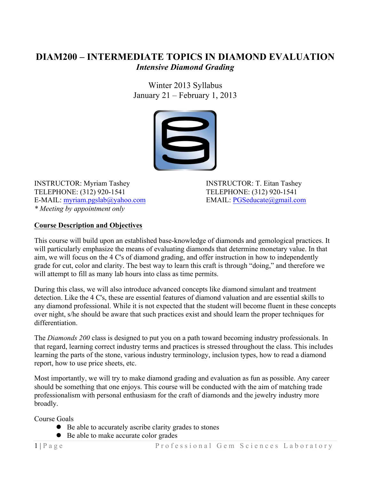# **DIAM200 – INTERMEDIATE TOPICS IN DIAMOND EVALUATION** *Intensive Diamond Grading*

Winter 2013 Syllabus January 21 – February 1, 2013



INSTRUCTOR: Myriam Tashey INSTRUCTOR: T. Eitan Tashey TELEPHONE: (312) 920-1541 TELEPHONE: (312) 920-1541 E-MAIL: myriam.pgslab@yahoo.com EMAIL: PGSeducate@gmail.com *\* Meeting by appointment only*

## **Course Description and Objectives**

This course will build upon an established base-knowledge of diamonds and gemological practices. It will particularly emphasize the means of evaluating diamonds that determine monetary value. In that aim, we will focus on the 4 C's of diamond grading, and offer instruction in how to independently grade for cut, color and clarity. The best way to learn this craft is through "doing," and therefore we will attempt to fill as many lab hours into class as time permits.

During this class, we will also introduce advanced concepts like diamond simulant and treatment detection. Like the 4 C's, these are essential features of diamond valuation and are essential skills to any diamond professional. While it is not expected that the student will become fluent in these concepts over night, s/he should be aware that such practices exist and should learn the proper techniques for differentiation.

The *Diamonds 200* class is designed to put you on a path toward becoming industry professionals. In that regard, learning correct industry terms and practices is stressed throughout the class. This includes learning the parts of the stone, various industry terminology, inclusion types, how to read a diamond report, how to use price sheets, etc.

Most importantly, we will try to make diamond grading and evaluation as fun as possible. Any career should be something that one enjoys. This course will be conducted with the aim of matching trade professionalism with personal enthusiasm for the craft of diamonds and the jewelry industry more broadly.

Course Goals

- Be able to accurately ascribe clarity grades to stones
- Be able to make accurate color grades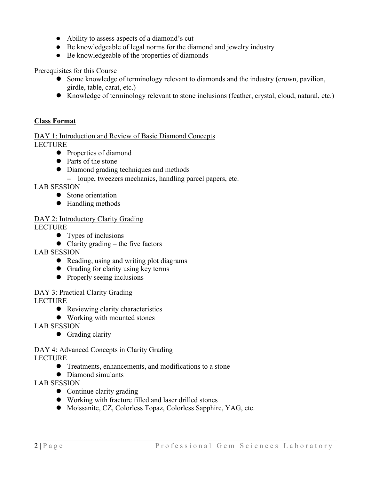- Ability to assess aspects of a diamond's cut
- Be knowledgeable of legal norms for the diamond and jewelry industry
- Be knowledgeable of the properties of diamonds

Prerequisites for this Course

- Some knowledge of terminology relevant to diamonds and the industry (crown, pavilion, girdle, table, carat, etc.)
- ! Knowledge of terminology relevant to stone inclusions (feather, crystal, cloud, natural, etc.)

#### **Class Format**

DAY 1: Introduction and Review of Basic Diamond Concepts LECTURE

- Properties of diamond
- Parts of the stone
- Diamond grading techniques and methods
- − loupe, tweezers mechanics, handling parcel papers, etc.

LAB SESSION

- Stone orientation
- Handling methods

## DAY 2: Introductory Clarity Grading

LECTURE

- Types of inclusions
- $\bullet$  Clarity grading the five factors
- LAB SESSION
	- Reading, using and writing plot diagrams
	- Grading for clarity using key terms
	- Properly seeing inclusions
- DAY 3: Practical Clarity Grading

LECTURE

- Reviewing clarity characteristics
- Working with mounted stones
- LAB SESSION
	- Grading clarity

# DAY 4: Advanced Concepts in Clarity Grading

LECTURE

- Treatments, enhancements, and modifications to a stone
- Diamond simulants
- LAB SESSION
	- Continue clarity grading
	- ! Working with fracture filled and laser drilled stones
	- ! Moissanite, CZ, Colorless Topaz, Colorless Sapphire, YAG, etc.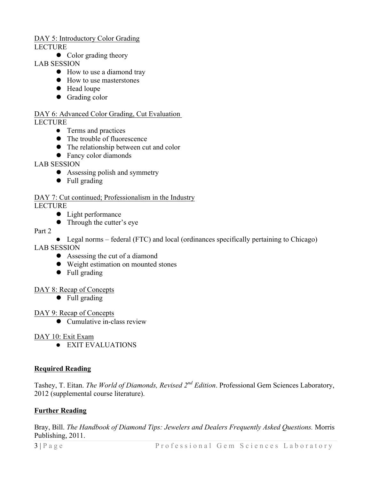# DAY 5: Introductory Color Grading

LECTURE

• Color grading theory

LAB SESSION

- How to use a diamond tray
- How to use masterstones
- Head loupe
- Grading color

#### DAY 6: Advanced Color Grading, Cut Evaluation LECTURE

- Terms and practices
- The trouble of fluorescence
- The relationship between cut and color
- Fancy color diamonds

## LAB SESSION

- Assessing polish and symmetry
- Full grading

# DAY 7: Cut continued; Professionalism in the Industry

LECTURE

- Light performance
- Through the cutter's eye

#### Part 2

• Legal norms – federal (FTC) and local (ordinances specifically pertaining to Chicago)

LAB SESSION

- Assessing the cut of a diamond
- Weight estimation on mounted stones
- Full grading

#### DAY 8: Recap of Concepts

• Full grading

#### DAY 9: Recap of Concepts

 $\bullet$  Cumulative in-class review

#### DAY 10: Exit Exam

 $\bullet$  EXIT EVALUATIONS

# **Required Reading**

Tashey, T. Eitan. *The World of Diamonds, Revised 2nd Edition*. Professional Gem Sciences Laboratory, 2012 (supplemental course literature).

#### **Further Reading**

Bray, Bill. *The Handbook of Diamond Tips: Jewelers and Dealers Frequently Asked Questions.* Morris Publishing, 2011.